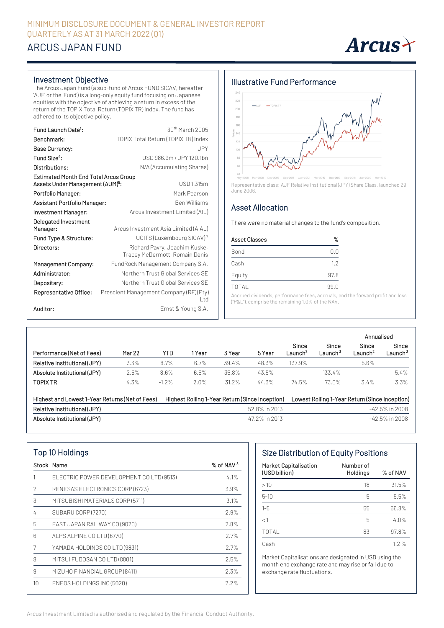## MINIMUM DISCLOSURE DOCUMENT & GENERAL INVESTOR REPORT QUARTERLY AS AT 31 MARCH 2022 (Q1)

# ARCUS JAPAN FUND



#### Investment Objective

The Arcus Japan Fund (a sub-fund of Arcus FUND SICAV, hereafter 'AJF' or the 'Fund') is a long-only equity fund focusing on Japanese equities with the objective of achieving a return in excess of the return of the TOPIX Total Return (TOPIX TR) Index. The fund has adhered to its objective policy.

| Fund Launch Date <sup>1</sup> :                                                              | 30 <sup>th</sup> March 2005                                     |
|----------------------------------------------------------------------------------------------|-----------------------------------------------------------------|
| Benchmark:                                                                                   | TOPIX Total Return (TOPIX TR) Index                             |
| Base Currency:                                                                               | JPY                                                             |
| Fund Size <sup>4</sup> :                                                                     | USD 986.9m / JPY 120.1bn                                        |
| Distributions:                                                                               | N/A (Accumulating Shares)                                       |
| <b>Estimated Month End Total Arcus Group</b><br>Assets Under Management (AUM) <sup>5</sup> : | USD 1,315m                                                      |
| Portfolio Manager:                                                                           | Mark Pearson                                                    |
| Assistant Portfolio Manager:                                                                 | <b>Ben Williams</b>                                             |
| Investment Manager:                                                                          | Arcus Investment Limited (AIL)                                  |
| Delegated Investment                                                                         |                                                                 |
| Manager:                                                                                     | Arcus Investment Asia Limited (AIAL)                            |
| Fund Type & Structure:                                                                       | UCITS (Luxembourg SICAV) <sup>7</sup>                           |
| Directors:                                                                                   | Richard Pavry, Joachim Kuske,<br>Tracey McDermott, Romain Denis |
| Management Company:                                                                          | FundRock Management Company S.A.                                |
| Administrator:                                                                               | Northern Trust Global Services SE                               |
| Depositary:                                                                                  | Northern Trust Global Services SF                               |
| Representative Office:                                                                       | Prescient Management Company (RF) (Pty)<br>L td                 |
| Auditor:                                                                                     | Ernst & Young S.A.                                              |

#### Illustrative Fund Performance



Representative class: AJF Relative Institutional (JPY) Share Class, launched 29 June 2006.

### Asset Allocation

There were no material changes to the fund's composition.

| <b>Asset Classes</b> | %    |  |
|----------------------|------|--|
| Bond                 | 0.0  |  |
| Cash                 | 1.2  |  |
| Equity               | 97.8 |  |
| <b>TOTAL</b>         | 99.0 |  |
|                      |      |  |

Accrued dividends, performance fees, accruals, and the forward profit and loss ("P&L"), comprise the remaining 1.0% of the NAV.

|                              |               |         |      |        |        |                              |                              | Annualised                   |                            |
|------------------------------|---------------|---------|------|--------|--------|------------------------------|------------------------------|------------------------------|----------------------------|
| Performance (Net of Fees)    | <b>Mar 22</b> | YTD     | Year | 3 Year | 5 Year | Since<br>_aunch <sup>2</sup> | Since<br>Launch <sup>3</sup> | Since<br>Launch <sup>2</sup> | Since<br>Launch $^{\rm 3}$ |
| Relative Institutional (JPY) | 3.3%          | 8.7%    | 6.7% | 39.4%  | 48.3%  | 137.9%                       |                              | 5.6%                         |                            |
| Absolute Institutional (JPY) | 2.5%          | 8.6%    | 6.5% | 35.8%  | 43.5%  |                              | 133.4%                       |                              | 5.4%                       |
| <b>TOPIX TR</b>              | 4.3%          | $-1.2%$ | 2.0% | 31.2%  | 44.3%  | 74.5%                        | 73.0%                        | 3.4%                         | 3.3%                       |

| Highest and Lowest 1-Year Returns (Net of Fees) | Highest Rolling 1-Year Return (Since Inception) | Lowest Rolling 1-Year Return (Since Inception) |
|-------------------------------------------------|-------------------------------------------------|------------------------------------------------|
| Relative Institutional (JPY)                    | 52.8% in 2013                                   | -42.5% in 2008                                 |
| Absolute Institutional (JPY)                    | 47.2% in 2013                                   | -42.5% in 2008                                 |

| Top 10 Holdings |                                         |                       |  |  |  |  |  |  |
|-----------------|-----------------------------------------|-----------------------|--|--|--|--|--|--|
|                 | Stock Name                              | % of NAV <sup>8</sup> |  |  |  |  |  |  |
|                 | ELECTRIC POWER DEVELOPMENT COLTD (9513) | 4.1%                  |  |  |  |  |  |  |
| 2               | RENESAS ELECTRONICS CORP (6723)         | 3.9%                  |  |  |  |  |  |  |
| 3               | MITSUBISHI MATERIALS CORP (5711)        | 3.1%                  |  |  |  |  |  |  |
| 4               | SUBARU CORP (7270)                      | 2.9%                  |  |  |  |  |  |  |
| 5               | EAST JAPAN RAILWAY CO (9020)            | 2.8%                  |  |  |  |  |  |  |
| 6               | ALPS ALPINE CO LTD (6770)               | 2.7%                  |  |  |  |  |  |  |
| 7               | YAMADA HOLDINGS CO LTD (9831)           | 2.7%                  |  |  |  |  |  |  |
| 8               | MITSUI FUDOSAN CO LTD (8801)            | 2.5%                  |  |  |  |  |  |  |
| 9               | MIZUHO FINANCIAL GROUP (8411)           | 2.3%                  |  |  |  |  |  |  |
| 10              | ENEOS HOLDINGS INC (5020)               | 2.2%                  |  |  |  |  |  |  |

## Size Distribution of Equity Positions

| <b>Market Capitalisation</b><br>(USD billion) | Number of<br>Holdings | $%$ of NAV |
|-----------------------------------------------|-----------------------|------------|
| >10                                           | 18                    | 31.5%      |
| $5 - 10$                                      | 5                     | 5.5%       |
| $1 - 5$                                       | 55                    | 56.8%      |
| $<$ 1                                         | 5                     | 4.0%       |
| <b>TOTAL</b>                                  | 83                    | 97.8%      |
| Cash                                          |                       | $1.2\%$    |

Market Capitalisations are designated in USD using the month end exchange rate and may rise or fall due to exchange rate fluctuations.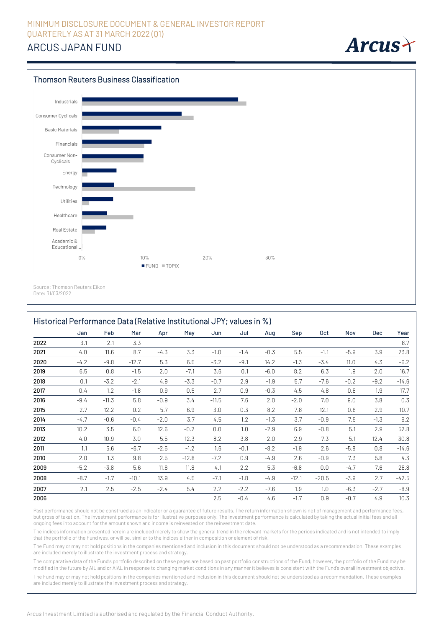# ARCUS JAPAN FUND



Date: 31/03/2022

|      | Historical Performance Data (Relative Institutional JPY; values in %) |         |         |        |         |         |        |        |         |         |        |        |         |
|------|-----------------------------------------------------------------------|---------|---------|--------|---------|---------|--------|--------|---------|---------|--------|--------|---------|
|      | Jan                                                                   | Feb     | Mar     | Apr    | May     | Jun     | Jul    | Aug    | Sep     | 0ct     | Nov    | Dec    | Year    |
| 2022 | 3.1                                                                   | 2.1     | 3.3     |        |         |         |        |        |         |         |        |        | 8.7     |
| 2021 | 4.0                                                                   | 11.6    | 8.7     | $-4.3$ | 3.3     | $-1.0$  | $-1.4$ | $-0.3$ | 5.5     | $-1.1$  | $-5.9$ | 3.9    | 23.8    |
| 2020 | $-4.2$                                                                | $-9.8$  | $-12.7$ | 5.3    | 6.5     | $-3.2$  | $-9.1$ | 14.2   | $-1.3$  | $-3.4$  | 11.0   | 4.3    | $-6.2$  |
| 2019 | 6.5                                                                   | 0.8     | $-1.5$  | 2.0    | $-7.1$  | 3.6     | 0.1    | $-6.0$ | 8.2     | 6.3     | 1.9    | 2.0    | 16.7    |
| 2018 | 0.1                                                                   | $-3.2$  | $-2.1$  | 4.9    | $-3.3$  | $-0.7$  | 2.9    | $-1.9$ | 5.7     | $-7.6$  | $-0.2$ | $-9.2$ | $-14.6$ |
| 2017 | 0.4                                                                   | 1.2     | $-1.8$  | 0.9    | 0.5     | 2.7     | 0.9    | $-0.3$ | 4.5     | 4.8     | 0.8    | 1.9    | 17.7    |
| 2016 | $-9.4$                                                                | $-11.3$ | 5.8     | $-0.9$ | 3.4     | $-11.5$ | 7.6    | 2.0    | $-2.0$  | 7.0     | 9.0    | 3.8    | 0.3     |
| 2015 | $-2.7$                                                                | 12.2    | 0.2     | 5.7    | 6.9     | $-3.0$  | $-0.3$ | $-8.2$ | $-7.8$  | 12.1    | 0.6    | $-2.9$ | 10.7    |
| 2014 | $-4.7$                                                                | $-0.6$  | $-0.4$  | $-2.0$ | 3.7     | 4.5     | 1.2    | $-1.3$ | 3.7     | $-0.9$  | 7.5    | $-1.3$ | 9.2     |
| 2013 | 10.2                                                                  | 3.5     | 6.0     | 12.6   | $-0.2$  | 0.0     | 1.0    | $-2.9$ | 6.9     | $-0.8$  | 5.1    | 2.9    | 52.8    |
| 2012 | 4.0                                                                   | 10.9    | 3.0     | $-5.5$ | $-12.3$ | 8.2     | $-3.8$ | $-2.0$ | 2.9     | 7.3     | 5.1    | 12.4   | 30.8    |
| 2011 | 1.1                                                                   | 5.6     | $-6.7$  | $-2.5$ | $-1.2$  | 1.6     | $-0.1$ | $-8.2$ | $-1.9$  | 2.6     | $-5.8$ | 0.8    | $-14.6$ |
| 2010 | 2.0                                                                   | 1.3     | 9.8     | 2.5    | $-12.8$ | $-7.2$  | 0.9    | $-4.9$ | 2.6     | $-0.9$  | 7.3    | 5.8    | 4.3     |
| 2009 | $-5.2$                                                                | $-3.8$  | 5.6     | 11.6   | 11.8    | 4.1     | 2.2    | 5.3    | $-6.8$  | 0.0     | $-4.7$ | 7.6    | 28.8    |
| 2008 | $-8.7$                                                                | $-1.7$  | $-10.1$ | 13.9   | 4.5     | $-7.1$  | $-1.8$ | $-4.9$ | $-12.1$ | $-20.5$ | $-3.9$ | 2.7    | $-42.5$ |
| 2007 | 2.1                                                                   | 2.5     | $-2.5$  | $-2.4$ | 5.4     | 2.2     | $-2.2$ | $-7.6$ | 1.9     | 1.0     | $-6.3$ | $-2.7$ | $-8.9$  |
| 2006 |                                                                       |         |         |        |         | 2.5     | $-0.4$ | 4.6    | $-1.7$  | 0.9     | $-0.7$ | 4.9    | 10.3    |

Past performance should not be construed as an indicator or a quarantee of future results. The return information shown is net of management and performance fees, but gross of taxation. The investment performance is for illustrative purposes only. The investment performance is calculated by taking the actual initial fees and all ongoing fees into account for the amount shown and income is reinvested on the reinvestment date.

The indices information presented herein are included merely to show the general trend in the relevant markets for the periods indicated and is not intended to imply that the portfolio of the Fund was, or will be, similar to the indices either in composition or element of risk.

The Fund may or may not hold positions in the companies mentioned and inclusion in this document should not be understood as a recommendation. These examples are included merely to illustrate the investment process and strategy.

The comparative data of the Fund's portfolio described on these pages are based on past portfolio constructions of the Fund; however, the portfolio of the Fund may be modified in the future by AIL and or AIAL in response to changing market conditions in any manner it believes is consistent with the Fund's overall investment objective.

The Fund may or may not hold positions in the companies mentioned and inclusion in this document should not be understood as a recommendation. These examples are included merely to illustrate the investment process and strategy.

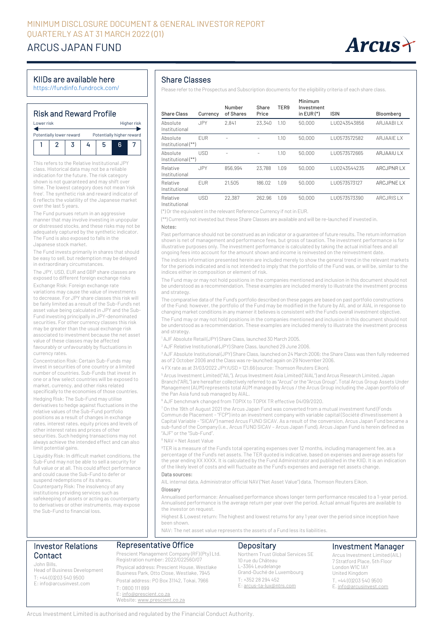# ARCUS JAPAN FUND



### KIIDs are available here

https://fundinfo.fundrock.com/

### Risk and Reward Profile

| I ower risk | Higher risk              |   |  |                           |  |  |
|-------------|--------------------------|---|--|---------------------------|--|--|
|             |                          |   |  |                           |  |  |
|             |                          | ь |  |                           |  |  |
|             | Potentially lower reward |   |  | Potentially higher reward |  |  |

This refers to the Relative Institutional JPY class. Historical data may not be a reliable indication for the future. The risk category shown is not guaranteed and may shift over time. The lowest category does not mean 'risk free'. The synthetic risk and reward indicator of 6 reflects the volatility of the Japanese market over the last 5 years.

The Fund pursues return in an aggressive manner that may involve investing in unpopular or distressed stocks, and these risks may not be adequately captured by the synthetic indicator. The Fund is also exposed to falls in the Japanese stock market.

The Fund invests primarily in shares that should be easy to sell, but redemption may be delayed in extraordinary circumstances.

The JPY, USD, EUR and GBP share classes are exposed to different foreign exchange risks

Exchange Risk: Foreign exchange rate variations may cause the value of investments to decrease. For JPY share classes this risk will be fairly limited as a result of the Sub-Fund's net asset value being calculated in JPY and the Sub-Fund investing principally in JPY-denominated securities. For other currency classes this risk may be greater than the usual exchange risk associated to investment because the net asset value of these classes may be affected favourably or unfavourably by fluctuations in currency rates.

Concentration Risk: Certain Sub-Funds may invest in securities of one country or a limited number of countries. Sub-Funds that invest in one or a few select countries will be exposed to market, currency, and other risks related specifically to the economies of those countries.

Hedging Risk: The Sub-Fund may utilise derivatives to hedge against fluctuations in the relative values of the Sub-Fund portfolio positions as a result of changes in exchange rates, interest rates, equity prices and levels of other interest rates and prices of other securities. Such hedging transactions may not always achieve the intended effect and can also limit potential gains.

Liquidity Risk: In difficult market conditions, the Sub-Fund may not be able to sell a security for full value or at all. This could affect performance and could cause the Sub-Fund to defer or suspend redemptions of its shares. Counterparty Risk: The insolvency of any institutions providing services such as safekeeping of assets or acting as counterparty to derivatives or other instruments, may expose the Sub-Fund to financial loss.

### Share Classes

Please refer to the Prospectus and Subscription documents for the eligibility criteria of each share class.

| <b>Share Class</b>             | Currency   | Number<br>of Shares | Share<br>Price | TER9 | Minimum<br>Investment<br>in $EUR$ $(*)$ | <b>ISIN</b>  | Bloomberg         |
|--------------------------------|------------|---------------------|----------------|------|-----------------------------------------|--------------|-------------------|
| Absolute<br>Institutional      | <b>JPY</b> | 2,841               | 23,340         | 1.10 | 50,000                                  | LU0243543856 | ARJAABI LX        |
| Absolute<br>Institutional (**) | <b>FUR</b> |                     |                | 1.10 | 50,000                                  | LU0573572582 | ARJAAIE LX        |
| Absolute<br>Institutional (**) | USD        |                     |                | 1.10 | 50,000                                  | LU0573572665 | ARJAAIU LX        |
| Relative<br>Institutional      | <b>JPY</b> | 856,994             | 23,788         | 1.09 | 50,000                                  | LU0243544235 | <b>ARCJPNRLX</b>  |
| Relative<br>Institutional      | <b>FUR</b> | 21,505              | 186.02         | 1.09 | 50.000                                  | LU0573573127 | <b>ARCJPNE LX</b> |
| Relative<br>Institutional      | USD        | 22,387              | 262.96         | 1.09 | 50,000                                  | LU0573573390 | <b>ARCJRISLX</b>  |

(\*) Orthe equivalent in the relevant Reference Currency if not in EUR.

(\*\*) Currently not invested but these Share Classes are available and will be re-launched if invested in.

#### Notes:

Past performance should not be construed as an indicator or a guarantee of future results. The return information shown is net of management and performance fees, but gross of taxation. The investment performance is for illustrative purposes only. The investment performance is calculated by taking the actual initial fees and all ongoing fees into account for the amount shown and income is reinvested on the reinvestment date.

The indices information presented herein are included merely to show the general trend in the relevant markets for the periods indicated and is not intended to imply that the portfolio of the Fund was, or will be, similar to the indices either in composition or element of risk.

The Fund may or may not hold positions in the companies mentioned and inclusion in this document should not be understood as a recommendation. These examples are included merely to illustrate the investment process and strategy.

The comparative data of the Fund's portfolio described on these pages are based on past portfolio constructions of the Fund; however, the portfolio of the Fund may be modified in the future by AIL and or AIAL in response to changing market conditions in any manner it believes is consistent with the Fund's overall investment objective.

The Fund may or may not hold positions in the companies mentioned and inclusion in this document should not be understood as a recommendation. These examples are included merely to illustrate the investment process and strategy.

<sup>1</sup> AJF Absolute Retail (JPY) Share Class, launched 30 March 2005.

<sup>2</sup> AJF Relative Institutional (JPY) Share Class, launched 29 June 2006.

<sup>3</sup> AJF Absolute Institutional (JPY) Share Class, launched on 24 March 2006; the Share Class was then fully redeemed as of 2 October 2006 and the Class was re-launched again on 29 November 2006.

4 FX rate as at 31/03/2022 JPY/USD = 121.66 (source: Thomson Reuters Eikon).

<sup>5</sup> Arcus Investment Limited ("AIL"), Arcus Investment Asia Limited ("AIAL") and Arcus Research Limited, Japan Branch ("ARL") are hereafter collectively referred to as "Arcus" or the "Arcus Group". Total Arcus Group Assets Under Management (AUM) represents total AUM managed by Arcus / the Arcus Group including the Japan portfolio of the Pan Asia fund sub managed by AIAL.

<sup>6</sup> AJF benchmark changed from TOPIX to TOPIX TR effective 04/09/2020.

 $^7$  On the 19th of August 2021 the Arcus Japan Fund was converted from a mutual investment fund (Fonds Commun de Placement - "FCP") into an investment company with variable capital (Société d'Investissement à Capital Variable - "SICAV") named Arcus FUND SICAV. As a result of the conversion, Arcus Japan Fund became a sub-fund of the Company (i.e., Arcus FUND SICAV – Arcus Japan Fund), Arcus Japan Fund is herein defined as "AJF" or the "Sub-Fund".

#### <sup>8</sup> NAV = Net Asset Value

<sup>9</sup>TER is a measure of the Fund's total operating expenses over 12 months, including management fee, as a percentage of the Fund's net assets. The TER quoted is indicative, based on expenses and average assets for the year ending XX XXXX. It is calculated by the Fund Administrator and published in the KIID. It is an indication of the likely level of costs and will fluctuate as the Fund's expenses and average net assets change.

#### Data sources:

AIL internal data, Administrator official NAV ("Net Asset Value") data, Thomson Reuters Eikon.

#### Glossary

Annualised performance: Annualised performance shows longer term performance rescaled to a 1-year period. Annualised performance is the average return per year over the period. Actual annual figures are available to the investor on request.

Highest & Lowest return: The highest and lowest returns for any 1 year over the period since inception have been shown.

NAV: The net asset value represents the assets of a Fund less its liabilities.

### Investor Relations Contact

John Bills,

Head of Business Development T: +44 (0)203 540 9500 E: info@arcusinvest.com

Prescient Management Company (RF) (Pty) Ltd. Registration number: 2022/022560/07 Physical address: Prescient House, Westlake Business Park, Otto Close, Westlake, 7945 Postal address: PO Box 31142, Tokai, 7966 T: 0800 111 899 E[: info@prescient.co.za](mailto:info@prescient.co.za)

Representative Office

## **Depositary**

Northern Trust Global Services SE 10 rue du Château L-3364 Leudelange Grand-Duché de Luxembourg T: +352 28 294 452 E[: arcus-ta-lux@ntrs.com](mailto:arcus-ta-lux@ntrs.com)

## Investment Manager

Arcus Investment Limited (AIL) 7 Stratford Place, 5th Floor London W1C 1AY United Kingdom T. +44 (0)203 540 9500 E[. info@arcusinvest.com](mailto:info@arcusinvest.com)

Website[: www.prescient.co.za](http://www.prescient.co.za/)